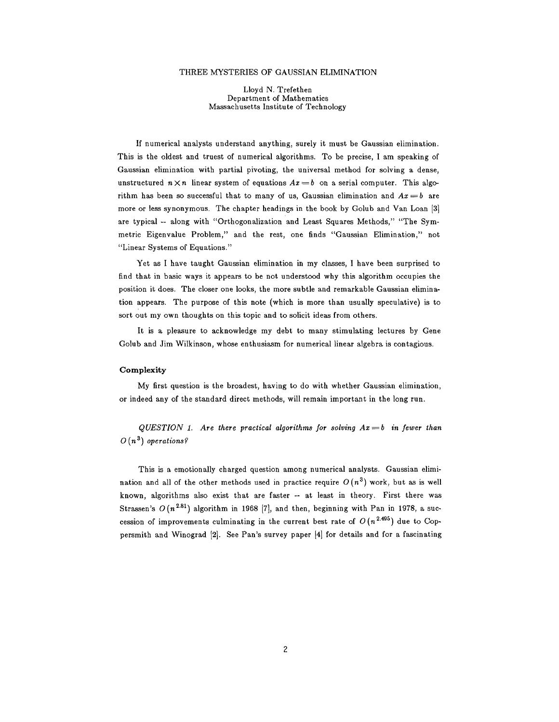#### THREE MYSTERIES OF GAUSSIAN ELIMINATION

Lloyd N. Trefethen Department of Mathematics Massachusetts Institute of Technology

If numerical analysts understand anything, surely it must be Gaussian elimination. This is the oldest and truest of numerical algorithms. To be precise, I am speaking of Gaussian elimination with partial pivoting, the universal method for solving a dense, unstructured  $n \times n$  linear system of equations  $Ax = b$  on a serial computer. This algorithm has been so successful that to many of us, Gaussian elimination and  $Ax = b$  are more or less synonymous. The chapter headings in the book by Golub and Van Loan [3] are typical -- along with "Orthogonalization and Least Squares Methods," "The Symmetric Eigenvalue Problem," and the rest, one finds "Gaussian Elimination," not "Linear Systems of Equations."

Yet as I have taught Gaussian elimination in my classes, I have been surprised to find that in basic ways it appears to be not understood why this algorithm occupies the position it does. The closer one looks, the more subtle and remarkable Gaussian elimination appears. The purpose of this note (which is more than usually speculative) is to sort out my own thoughts on this topic and to solicit ideas from others.

It is a pleasure to acknowledge my debt to many stimulating lectures by Gene Golub and Jim Wilkinson, whose enthusiasm for numerical linear algebra is contagious.

# **Complexity**

My first question is the broadest, having to do with whether Gaussian elimination, or indeed any of the standard direct methods, will remain important in the long run.

 $QUESTION$  1. Are there practical algorithms for solving  $Ax = b$  in fewer than  $O(n^3)$  *operations?* 

This is a emotionally charged question among numerical analysts. Gaussian elimination and all of the other methods used in practice require  $O(n^3)$  work, but as is well known, algorithms also exist that are faster -- at least in theory. First there was Strassen's  $O(n^{2.81})$  algorithm in 1968 [7], and then, beginning with Pan in 1978, a succession of improvements culminating in the current best rate of  $O(n^{2.495})$  due to Coppersmith and Winograd [2]. See Pan's survey paper [4] for details and for a fascinating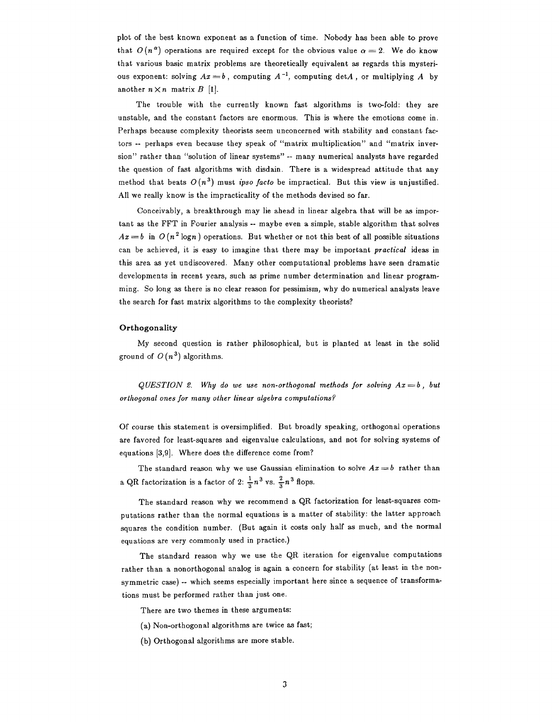plot of the best known exponent as a function of time. Nobody has been able to prove that  $O(n^{\alpha})$  operations are required except for the obvious value  $\alpha = 2$ . We do know that various basic matrix problems are theoretically equivalent as regards this mysterious exponent: solving  $Ax = b$ , computing  $A^{-1}$ , computing detA, or multiplying A by another  $n \times n$  matrix  $B$  [1].

The trouble with the currently known fast algorithms is two-fold: they are unstable, and the constant factors are enormous. This is where the emotions come in. Perhaps because complexity theorists seem unconcerned with stability and constant factors -- perhaps even because they speak of "matrix multiplication" and "matrix inversion" rather than "solution of linear systems" -- many numerical analysts have regarded the question of fast algorithms with disdain. There is a widespread attitude that any method that beats  $O(n^3)$  must *ipso facto* be impractical. But this view is unjustified. All we really know is the impracticality of the methods devised so far.

Conceivably, a breakthrough may lie ahead in linear algebra that will be as important as the FFT in Fourier analysis -- maybe even a simple, stable algorithm that solves  $Ax = b$  in  $O(n^2 \log n)$  operations. But whether or not this best of all possible situations can be achieved, it is easy to imagine that there may be important *practical* ideas in this area as yet undiscovered. Many other computational problems have seen dramatic developments in recent years, such as prime number determination and linear programming. So long as there is no clear reason for pessimism, why do numerical analysts leave the search for fast matrix algorithms to the complexity theorists?

### **Orthogonality**

My second question is rather philosophical, but is planted at least in the solid ground of  $O(n^3)$  algorithms.

*QUESTION 2. Why do we use non-orthogonal methods for solving Ax=b, but orthogonal ones for many other linear algebra computations?* 

Of course this statement is oversimplified. But broadly speaking, orthogonal operations are favored for least-squares and eigenvalue calculations, and not for solving systems of equations [3,9]. Where does the difference come from?

The standard reason why we use Gaussian elimination to solve  $Ax = b$  rather than a QR factorization is a factor of 2:  $\frac{1}{2}n^3$  vs.  $\frac{2}{3}n^3$  flops.

The standard reason why we recommend a QR factorization for least-squares computations rather than the normal equations is a matter of stability: the latter approach squares the condition number. (But again it costs only half as much, and the normal equations are very commonly used in practice.)

The standard reason why we use the QR iteration for eigenvalue computations rather than a nonorthogonal analog is again a concern for stability (at least in the nonsymmetric case) -- which seems especially important here since a sequence of transformations must be performed rather than just one.

There are two themes in these arguments:

- (a) Non-orthogonal algorithms are twice as fast;
- (b) Orthogonal algorithms are more stable.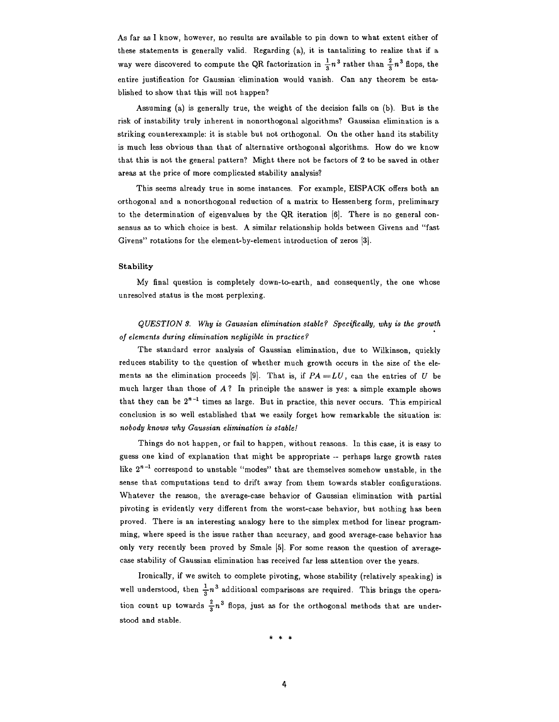As far as I know, however, no results are available to pin down to what extent either of these statements is generally valid. Regarding (a), it is tantalizing to realize that if a way were discovered to compute the QR factorization in  $\frac{1}{3}n^3$  rather than  $\frac{2}{3}n^3$  flops, the entire justification for Gauszian elimination would vanish. Can any theorem be established to show that this will not happen?

Assuming (a) is generally true, the weight of the decision falls on (b). But is the risk of instability truly inherent in nonorthogonal algorithms? Gaussian elimination is a striking counterexample: it is stable but not orthogonal. On the other hand its stability is much less obvious than that of alternative orthogonal algorithms. How do we know that this is not the general pattern? Might there not be factors of 2 to be saved in other areas at the price of more complicated stability analysis?

This seems already true in some instances. For example, EISPACK offers both an orthogonal and a nonorthogonal reduction of a matrix to Hessenberg form, preliminary to the determination of eigenvalues by the QR iteration [6]. There is no general consensus as to which choice is best. A similar relationship holds between Givens and "fast Givens" rotations for the element-by-element introduction of zeros [3].

### Stability

My final question is completely down-to-earth, and consequently, the one whose unresolved status is the most perplexing.

*QUESTION 8. Why is Gaussian elimination stable? Specifically, why is the growth of elements during elimination negligible in practice?* 

The standard error analysis of Gaussian elimination, due to Wilkinson, quickly reduces stability to the question of whether much growth occurs in the size of the elements as the elimination proceeds [9]. That is, if  $PA = LU$ , can the entries of U be much larger than those of  $A$ ? In principle the answer is yes: a simple example shows that they can be  $2^{n-1}$  times as large. But in practice, this never occurs. This empirical conclusion is so well established that we easily forget how remarkable the situation is: *nobody knows why Gaussian elimination is stable!* 

Things do not happen, or fail to happen, without reasons. In this case, it is easy to guess one kind of explanation that might be appropriate -- perhaps large growth rates like  $2^{n-1}$  correspond to unstable "modes" that are themselves somehow unstable, in the sense that computations tend to drift away from them towards stabler configurations. Whatever the reason, the average-ease behavior of Gaussian elimination with partial pivoting is evidently very different from the worst-case behavior, but nothing has been proved. There is an interesting analogy here to the simplex method for linear programming, where speed is the issue rather than accuracy, and good average-case behavior has only very recently been proved by Smale [5]. For some reason the question of averagecase stability of Gaussian elimination has received far less attention over the years.

Ironically, if we switch to complete pivoting, whose stability (relatively speaking) is well understood, then  $\frac{1}{3}n^3$  additional comparisons are required. This brings the operation count up towards  $\frac{2}{3}n^3$  flops, just as for the orthogonal methods that are understood and stable.